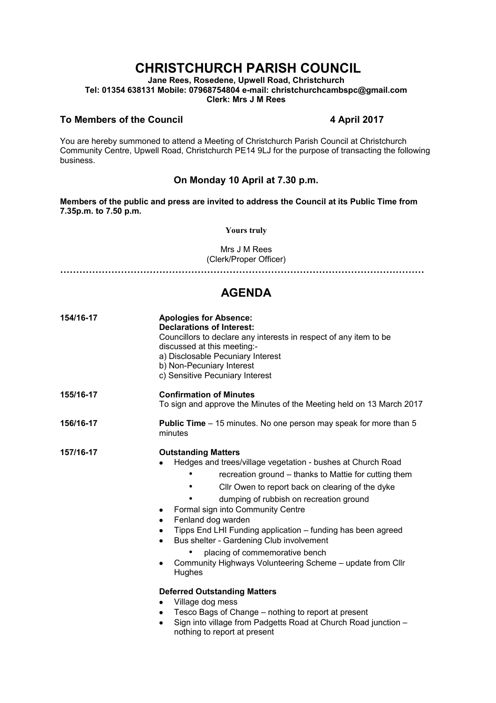# **CHRISTCHURCH PARISH COUNCIL**

**Jane Rees, Rosedene, Upwell Road, Christchurch Tel: 01354 638131 Mobile: 07968754804 e-mail: christchurchcambspc@gmail.com Clerk: Mrs J M Rees**

#### **To Members of the Council 4 April 2017**

You are hereby summoned to attend a Meeting of Christchurch Parish Council at Christchurch Community Centre, Upwell Road, Christchurch PE14 9LJ for the purpose of transacting the following business.

### **On Monday 10 April at 7.30 p.m.**

**Members of the public and press are invited to address the Council at its Public Time from 7.35p.m. to 7.50 p.m.** 

**Yours truly**

Mrs J M Rees (Clerk/Proper Officer)

**……………………………………………………………………………………………………**

## **AGENDA**

| 154/16-17 | <b>Apologies for Absence:</b><br><b>Declarations of Interest:</b><br>Councillors to declare any interests in respect of any item to be<br>discussed at this meeting:-<br>a) Disclosable Pecuniary Interest<br>b) Non-Pecuniary Interest<br>c) Sensitive Pecuniary Interest                                                                                                                                                                                                                                                                                                                                                                                                                                                                                                               |
|-----------|------------------------------------------------------------------------------------------------------------------------------------------------------------------------------------------------------------------------------------------------------------------------------------------------------------------------------------------------------------------------------------------------------------------------------------------------------------------------------------------------------------------------------------------------------------------------------------------------------------------------------------------------------------------------------------------------------------------------------------------------------------------------------------------|
| 155/16-17 | <b>Confirmation of Minutes</b><br>To sign and approve the Minutes of the Meeting held on 13 March 2017                                                                                                                                                                                                                                                                                                                                                                                                                                                                                                                                                                                                                                                                                   |
| 156/16-17 | <b>Public Time</b> – 15 minutes. No one person may speak for more than 5<br>minutes                                                                                                                                                                                                                                                                                                                                                                                                                                                                                                                                                                                                                                                                                                      |
| 157/16-17 | <b>Outstanding Matters</b><br>Hedges and trees/village vegetation - bushes at Church Road<br>recreation ground – thanks to Mattie for cutting them<br>Cllr Owen to report back on clearing of the dyke<br>dumping of rubbish on recreation ground<br>Formal sign into Community Centre<br>Fenland dog warden<br>٠<br>Tipps End LHI Funding application - funding has been agreed<br>Bus shelter - Gardening Club involvement<br>$\bullet$<br>placing of commemorative bench<br>Community Highways Volunteering Scheme - update from Cllr<br>Hughes<br><b>Deferred Outstanding Matters</b><br>Village dog mess<br>$\bullet$<br>Tesco Bags of Change – nothing to report at present<br>Sign into village from Padgetts Road at Church Road junction -<br>٠<br>nothing to report at present |